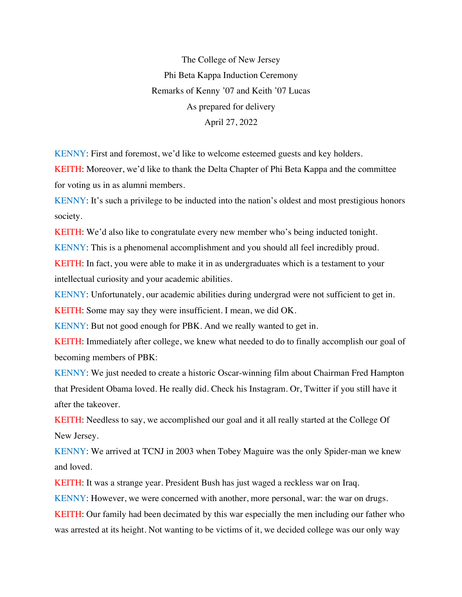The College of New Jersey Phi Beta Kappa Induction Ceremony Remarks of Kenny '07 and Keith '07 Lucas As prepared for delivery April 27, 2022

KENNY: First and foremost, we'd like to welcome esteemed guests and key holders.

KEITH: Moreover, we'd like to thank the Delta Chapter of Phi Beta Kappa and the committee for voting us in as alumni members.

KENNY: It's such a privilege to be inducted into the nation's oldest and most prestigious honors society.

KEITH: We'd also like to congratulate every new member who's being inducted tonight.

KENNY: This is a phenomenal accomplishment and you should all feel incredibly proud.

KEITH: In fact, you were able to make it in as undergraduates which is a testament to your intellectual curiosity and your academic abilities.

KENNY: Unfortunately, our academic abilities during undergrad were not sufficient to get in.

KEITH: Some may say they were insufficient. I mean, we did OK.

KENNY: But not good enough for PBK. And we really wanted to get in.

KEITH: Immediately after college, we knew what needed to do to finally accomplish our goal of becoming members of PBK:

KENNY: We just needed to create a historic Oscar-winning film about Chairman Fred Hampton that President Obama loved. He really did. Check his Instagram. Or, Twitter if you still have it after the takeover.

KEITH: Needless to say, we accomplished our goal and it all really started at the College Of New Jersey.

KENNY: We arrived at TCNJ in 2003 when Tobey Maguire was the only Spider-man we knew and loved.

KEITH: It was a strange year. President Bush has just waged a reckless war on Iraq.

KENNY: However, we were concerned with another, more personal, war: the war on drugs.

KEITH: Our family had been decimated by this war especially the men including our father who was arrested at its height. Not wanting to be victims of it, we decided college was our only way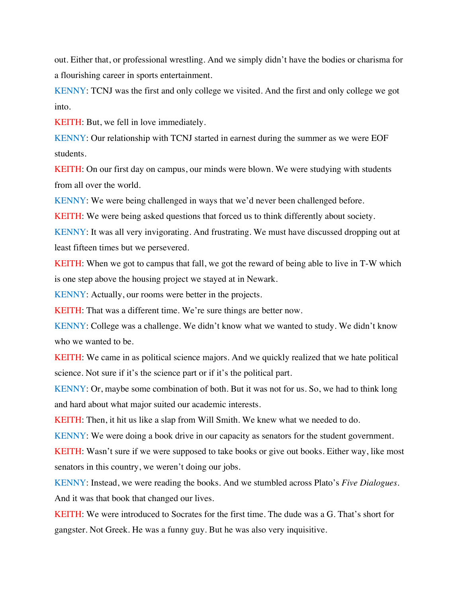out. Either that, or professional wrestling. And we simply didn't have the bodies or charisma for a flourishing career in sports entertainment.

KENNY: TCNJ was the first and only college we visited. And the first and only college we got into.

KEITH: But, we fell in love immediately.

KENNY: Our relationship with TCNJ started in earnest during the summer as we were EOF students.

KEITH: On our first day on campus, our minds were blown. We were studying with students from all over the world.

KENNY: We were being challenged in ways that we'd never been challenged before.

KEITH: We were being asked questions that forced us to think differently about society.

KENNY: It was all very invigorating. And frustrating. We must have discussed dropping out at least fifteen times but we persevered.

KEITH: When we got to campus that fall, we got the reward of being able to live in T-W which is one step above the housing project we stayed at in Newark.

KENNY: Actually, our rooms were better in the projects.

KEITH: That was a different time. We're sure things are better now.

KENNY: College was a challenge. We didn't know what we wanted to study. We didn't know who we wanted to be.

KEITH: We came in as political science majors. And we quickly realized that we hate political science. Not sure if it's the science part or if it's the political part.

KENNY: Or, maybe some combination of both. But it was not for us. So, we had to think long and hard about what major suited our academic interests.

KEITH: Then, it hit us like a slap from Will Smith. We knew what we needed to do.

KENNY: We were doing a book drive in our capacity as senators for the student government.

KEITH: Wasn't sure if we were supposed to take books or give out books. Either way, like most senators in this country, we weren't doing our jobs.

KENNY: Instead, we were reading the books. And we stumbled across Plato's *Five Dialogues*. And it was that book that changed our lives.

KEITH: We were introduced to Socrates for the first time. The dude was a G. That's short for gangster. Not Greek. He was a funny guy. But he was also very inquisitive.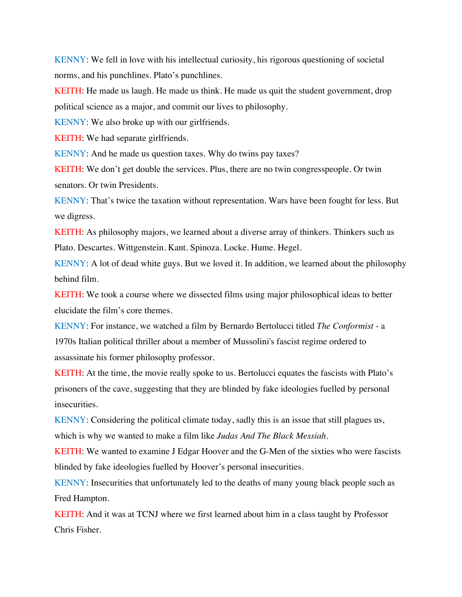KENNY: We fell in love with his intellectual curiosity, his rigorous questioning of societal norms, and his punchlines. Plato's punchlines.

KEITH: He made us laugh. He made us think. He made us quit the student government, drop political science as a major, and commit our lives to philosophy.

KENNY: We also broke up with our girlfriends.

KEITH: We had separate girlfriends.

KENNY: And he made us question taxes. Why do twins pay taxes?

KEITH: We don't get double the services. Plus, there are no twin congresspeople. Or twin senators. Or twin Presidents.

KENNY: That's twice the taxation without representation. Wars have been fought for less. But we digress.

KEITH: As philosophy majors, we learned about a diverse array of thinkers. Thinkers such as Plato. Descartes. Wittgenstein. Kant. Spinoza. Locke. Hume. Hegel.

KENNY: A lot of dead white guys. But we loved it. In addition, we learned about the philosophy behind film.

KEITH: We took a course where we dissected films using major philosophical ideas to better elucidate the film's core themes.

KENNY: For instance, we watched a film by Bernardo Bertolucci titled *The Conformist* - a 1970s Italian political thriller about a member of Mussolini's fascist regime ordered to assassinate his former philosophy professor.

KEITH: At the time, the movie really spoke to us. Bertolucci equates the fascists with Plato's prisoners of the cave, suggesting that they are blinded by fake ideologies fuelled by personal insecurities.

KENNY: Considering the political climate today, sadly this is an issue that still plagues us, which is why we wanted to make a film like *Judas And The Black Messiah*.

KEITH: We wanted to examine J Edgar Hoover and the G-Men of the sixties who were fascists blinded by fake ideologies fuelled by Hoover's personal insecurities.

KENNY: Insecurities that unfortunately led to the deaths of many young black people such as Fred Hampton.

KEITH: And it was at TCNJ where we first learned about him in a class taught by Professor Chris Fisher.